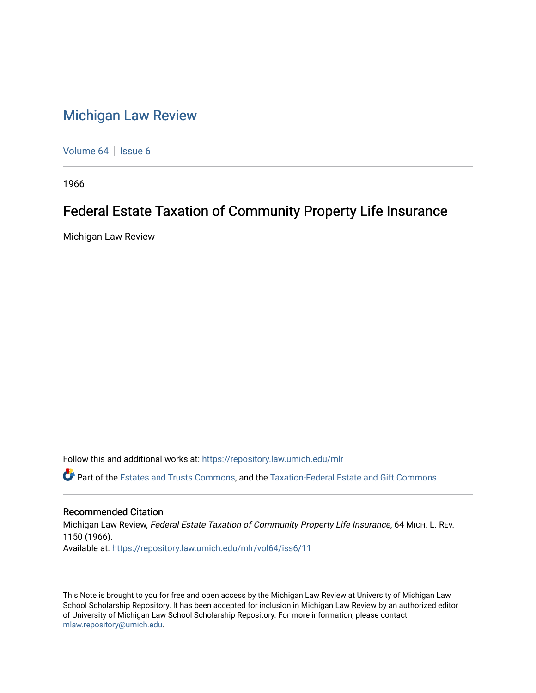## [Michigan Law Review](https://repository.law.umich.edu/mlr)

[Volume 64](https://repository.law.umich.edu/mlr/vol64) | [Issue 6](https://repository.law.umich.edu/mlr/vol64/iss6)

1966

# Federal Estate Taxation of Community Property Life Insurance

Michigan Law Review

Follow this and additional works at: [https://repository.law.umich.edu/mlr](https://repository.law.umich.edu/mlr?utm_source=repository.law.umich.edu%2Fmlr%2Fvol64%2Fiss6%2F11&utm_medium=PDF&utm_campaign=PDFCoverPages) 

Part of the [Estates and Trusts Commons,](http://network.bepress.com/hgg/discipline/906?utm_source=repository.law.umich.edu%2Fmlr%2Fvol64%2Fiss6%2F11&utm_medium=PDF&utm_campaign=PDFCoverPages) and the [Taxation-Federal Estate and Gift Commons](http://network.bepress.com/hgg/discipline/880?utm_source=repository.law.umich.edu%2Fmlr%2Fvol64%2Fiss6%2F11&utm_medium=PDF&utm_campaign=PDFCoverPages)

### Recommended Citation

Michigan Law Review, Federal Estate Taxation of Community Property Life Insurance, 64 MICH. L. REV. 1150 (1966). Available at: [https://repository.law.umich.edu/mlr/vol64/iss6/11](https://repository.law.umich.edu/mlr/vol64/iss6/11?utm_source=repository.law.umich.edu%2Fmlr%2Fvol64%2Fiss6%2F11&utm_medium=PDF&utm_campaign=PDFCoverPages) 

This Note is brought to you for free and open access by the Michigan Law Review at University of Michigan Law School Scholarship Repository. It has been accepted for inclusion in Michigan Law Review by an authorized editor of University of Michigan Law School Scholarship Repository. For more information, please contact [mlaw.repository@umich.edu.](mailto:mlaw.repository@umich.edu)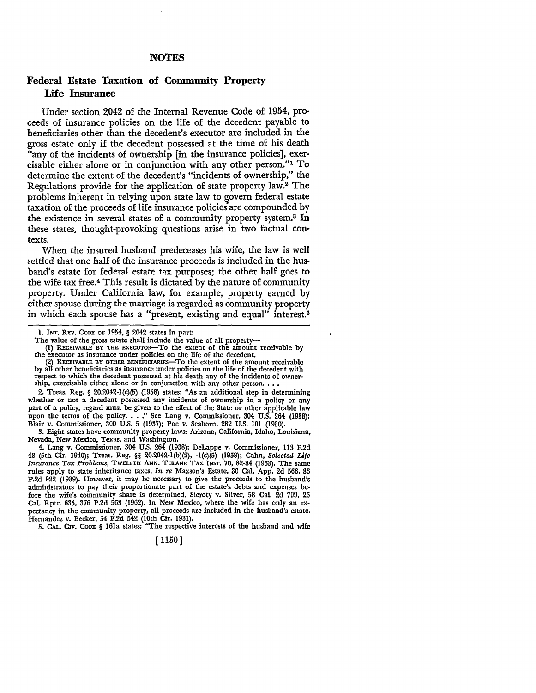### **NOTES**

## **Federal Estate Taxation of Community Property Life Insurance**

Under section 2042 of the Internal Revenue Code of 1954, proceeds of insurance policies on the life of the decedent payable to beneficiaries other than the decedent's executor are included in the gross estate only if the decedent possessed at the time of his death "any of the incidents of ownership [in the insurance policies], exercisable either alone or in conjunction with any other person."1 To determine the extent of the decedent's "incidents of ownership," the Regulations provide for the application of state property law.2 The problems inherent in relying upon state law to govern federal estate taxation of the proceeds of life insurance policies are compounded by the existence in several states of a community property system.<sup>3</sup> In these states, thought-provoking questions arise in two factual contexts.

When the insured husband predeceases his wife, the law is well settled that one half of the insurance proceeds is included in the husband's estate for federal estate tax purposes; the other half goes to the wife tax free.4 This result is dictated by the nature of community property. Under California law, for example, property earned by either spouse during the marriage is regarded as community property in which each spouse has a "present, existing and equal" interest.<sup>5</sup>

2. Treas. Reg. § 20.2042-l(c)(5) (1958) states: "As an additional step in determining whether or not a decedent possessed any incidents of ownership in a policy or any part of a policy, regard must be given to the effect of the State or other applicable law part of a policy, regista model of secure of the children of state experience in upon the terms of the policy. . .." See Lang v. Commissioner, 304 U.S. 264 (1938); Blair v. Commissioner, 300 U.S. 5 (1937); Poe v. Seaborn,

3. Eight states have community property laws: Arizona, California, Idaho, Louisiana, Nevada, New Mexico, Texas, and Washington.

4. Lang v. Commissioner, 304 U.S. 264 (1938); DeLappe v. Commissioner, 113 F,2d 48 (5th Cir. 1940); Treas. Reg. §§ 20.2042-l(b)(2), -l(c)(5) (1958): Cahn, *Selected Life Insurance Tax Problems,* TWELFTH ANN. TULANE TAX INST, 70, 82-84 (1963), The same rules apply to state inheritance taxes. *In re* Maxson's Estate, 30 Cal. App. 2d 566, 86 P.2d 922 (1939). However, it may be necessary to give the proceeds to the husband's administrators to pay their proportionate part of the estate's debts and expenses before the wife's community share is determined. Sieroty v. Silver, 58 Cal. 2d 799, 26 Cal. Rptr. 635, 376 P.2d 563 (1962). In New Mexico, where the wife has only an expectancy in the community property, all proceeds are included in the husband's estate, Hernandez v. Becker, 54 F.2d 542 (10th Cir. 1931).

5. CAL. CIV. CODE § 161a states: "The respective interests of the husband and wife

[ 1150]

<sup>1.</sup> INT. REV. CODE OF 1954, § 2042 states in part:

The value of the gross estate shall include the value of all property-

<sup>(!)</sup> RECEIVABLE BY TIIE EXECUTOR-To the extent of the amount receivable by the executor as insurance under policies on the life of the decedent.

<sup>(2)</sup> RECEIVABLE BY OTIIER BENEFICIARIES-To the extent of the amount receivable by all other beneficiaries as insurance under policies on the life of the decedent with respect to which the decedent possessed at his death any of the incidents of owner- ship, exercisable either alone or in conjunction with any other person.  $\ldots$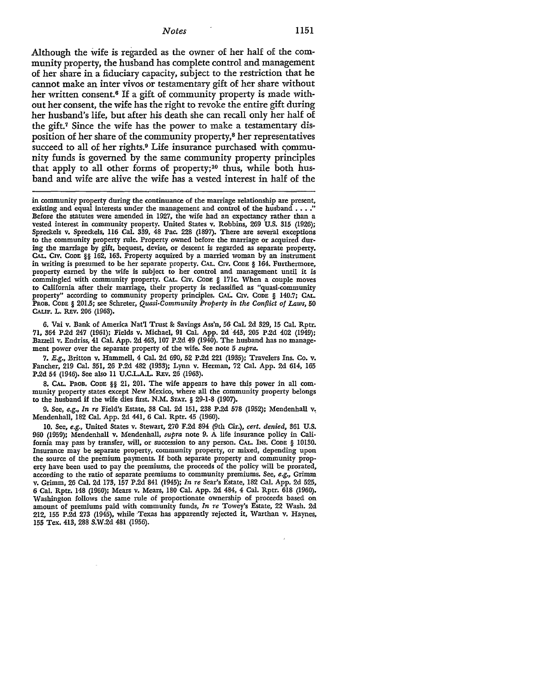#### *Notes* 1151

Although the wife is regarded as the owner of her half of the community property, the husband has complete control and management of her share in a fiduciary capacity, subject to the restriction that he cannot make an inter vivas or testamentary gift of her share without her written consent.<sup>6</sup> If a gift of community property is made without her consent, the wife has the right to revoke the entire gift during her husband's life, but after his death she can recall only her half of the gift.7 Since the wife has the power to make a testamentary disposition of her share of the community property, 8 her representatives succeed to all of her rights.<sup>9</sup> Life insurance purchased with community funds is governed by the same community property principles that apply to all other forms of property;<sup>10</sup> thus, while both husband and wife are alive the wife has a vested interest in half of the

in community property during the continuance of the marriage relationship are present, existing and equal interests under the management and control of the husband  $\dots$ Defore the statutes were amended in 1927, the wife had an expectancy rather than a vested interest in community property. United States v. Robbins, 269 U.S. 315 (1926); Spreckels v. Spreckels, 116 Cal. 339, 48 Pac. 228 (1897). There are several exceptions to the community property rule. Property owned before the marriage or acquired during the marriage by gift, bequest, devise, or descent is regarded as separate property. CAL. C1v. CODE §§ 162, 163. Property acquired by a married woman by an instrument in writing is presumed to be her separate property. CAL. C1v. CODE § 164. Furthermore, property earned by the wife is subject to her control and management until it is commingled with community property. CAL. C1v. CODE § 171c. When a couple moves to California after their marriage, their property is reclassified as "quasi-community property" according to community property principles. CAL. Civ. CODE § 140.7; CAL. PROB. CODE § 201.5; see Sclrreter, *Quasi-Community Property in the Conflict of Laws,* 50 CALIF. L. REV. 206 (1963).

6. Vai v. Bank of America Nat'l Trust & Savings Ass'n, 56 Cal. 2d 329, 15 Cal. Rptr. 71, 364 P.2d 247 (1961); Fields v. Michael, 91 Cal. App. 2d 443, 205 P.2d 402 (1949); Dazzell v. Endriss, 41 Cal. App. 2d 463, 107 P.2d 49 (1940). The husband has no management power over the separate property of the wife. See note 5 *supra.* 

7. E.g., Britton v. Hammell, 4 Cal. 2d 690, 52 P.2d 221 (1935); Travelers Ins. Co. v. Fancher, 219 Cal. 351, 26 P.2d 482 (1933); Lynn v. Herman, 72 Cal. App. 2d 614, 165 P.2d 54 (1946). See also 11 U.C.L.A.L. REv. 26 (1963).

8. CAL. PROB. CODE §§ 21, 201. The wife appears to have this power in all community property states except New Mexico, where all the community property belongs to the husband if the wife dies first. N.M. STAT. § 29-1-8 (1907).

9. See, e.g., In re Field's Estate, 38 Cal. 2d 151, 238 P.2d 578 (1952); Mendenhall v. Mendenhall, 182 Cal. App. 2d 441, 6 Cal. Rptr. 45 (1960).

10. See, *e.g.,* United States v. Stewart, 270 F.2d 894 (9th Cir.), *cert. denied,* 361 U.S. 960 (1959); Mendenhall v. Mendenhall, *supra* note 9. A life insurance policy in California may pass by transfer, will, or succession to any person. CAL. INs. CODE § 10130. Insurance may be separate property, community property, or mixed, depending upon the source of the premium payments. If both separate property and community property have been used to pay the premiums, the proceeds of the policy will be prorated, according to the ratio of separate premiums to community premiums. See, *e.g.,* Grimm v. Grimm, 26 Cal. 2d 173, 157 P.2d 841 (1945); *In re* Sear's Estate, 182 Cal. App. 2d 525, 6 Cal. Rptr. 148 (1960); Mears v. Mears, 180 Cal. App. 2d 484, 4 Cal. Rptr. 618 (1960). Washington follows the same rule of proportionate ownership of proceeds based on amount of premiums paid with community funds, *In re* Towey's Estate, 22 Wash. 2d 212, 155 P.2d 273 (1945), while -Texas has apparently rejected it, Warthan v. Haynes, 155 Tex. 413, 288 S.W.2d 481 (1956).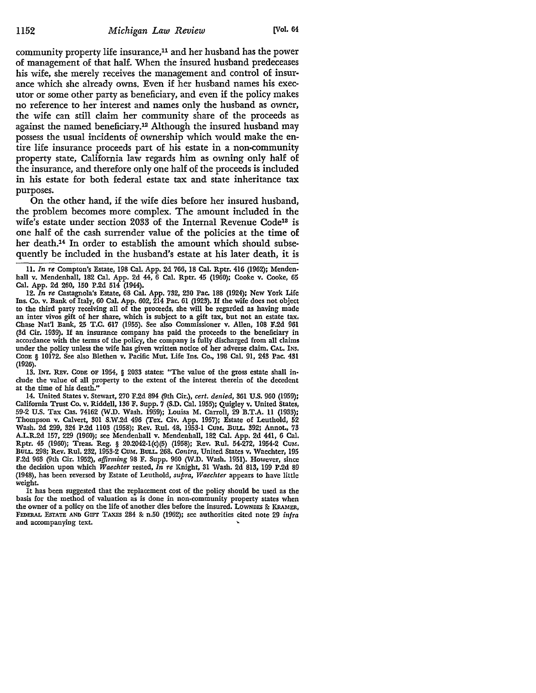community property life insurance,<sup>11</sup> and her husband has the power of management of that half. When the insured husband predeceases his wife, she merely receives the management and control of insurance which she already owns. Even if her husband names his executor or some other party as beneficiary, and even if the policy makes no reference to her interest and names only the husband as owner, the wife can still claim her community share of the proceeds as against the named beneficiary.12 Although the insured husband may possess the usual incidents of ownership which would make the entire life insurance proceeds part of his estate in a non-community property state, California law regards him as owning only half of the insurance, and therefore only one half of the proceeds is included in his estate for both federal estate tax and state inheritance tax purposes.

On the other hand, if the wife dies before her insured husband, the problem becomes more complex. The amount included in the wife's estate under section 2033 of the Internal Revenue Code<sup>13</sup> is one half of the cash surrender value of the policies at the time of her death.14 In order to establish the amount which should subsequently be included in the husband's estate at his later death, it is

11. *In re* Compton's Estate, 198 Cal. App. 2d 766, 18 Cal. Rptr. 416 (1962); Mendenhall v. Mendenhall, 182 Cal. App. 2d 44, 6 Cal. Rptr. 45 (1960); Cooke v. Cooke, 65 Cal. App. 2d 260, 150 P.2d 514 (1944).

12. *In re* Castagnola's Estate, 68 Cal. App. 732, 230 Pac. 188 (1924): New York Life Ins. Co. v. Bank of Italy, 60 Cal. App. 602, 214 Pac. 61 (1923). If the wife does not object to the third party receiving all of the proceeds, she will be regarded as having made an inter vivos gift of her share, which is subject to a gift tax, but not an estate tax. Chase Nat'! Bank, 25 T.C. 617 (1955). See also Commissioner v. Allen, 108 F.2d 961 (3d Cir. 1939). If an insurance company has paid the proceeds to the beneficiary in accordance with the terms of the policy, the company is fully discharged from all claims under the policy unless the wife has given written notice of her adverse claim. CAL. lNs. CODE § 10172. See also Blethen v. Pacific Mut. Life Ins. Co., 198 Cal. 91, 243 Pac. 481 (1926).

13. INT. REv. CODE OF 1954, § 2033 states: "The value of the gross estate shall include the value of all property to the extent of the interest therein of the decedent at the time of his death."

14. United States v. Stewart, 270 F.2d 894 (9th Cir.), *cert. denied,* 861 U.S. 960 (1959); California Trust Co. v. Riddell, 136 F. Supp. 7 (S.D. Cal. 1955); Quigley v. United States, 59-2 U.S. Tax Cas. 74162 (W.D. Wash. 1959); Louisa M. Carroll, 29 B.T.A. 11 (1933); Thompson v. Calvert, 301 S.W.2d 496 (Tex. Civ. App. 1957): Estate of Leuthold, 52 Wash. 2d 299, 324 P.2d 1103 (1958); Rev. Rul. 48, 1953-1 Cum. Bull. 392; Annot., 73 A.L.R.2d 157, 229 (1960): see Mendenhall v. Mendenhall, 182 Cal. App. 2d 441, 6 Cal, Rptr. 45 (1960); Treas. Reg. § 20,2042-l(c)(5) (1958); Rev. Rul. 54-272, 1954-2 CUM, BULL. 298; Rev. Rul. 232, 1953-2 CUM. BULL. 268. *Contra,* United States v. Waechter, 195 F.2d 963 (9th Cir. 1952), *affirming* 98 F. Supp. 960 (W.D. Wash. 1951). However, since the decision upon which *Waechter* rested, *In re* Knight, 31 Wash. 2d 813, 199 P.2d 89 (1948), has been reversed by Estate of Leuthold, *supra, Waechter* appears to have little weight.

It has been suggested that the replacement cost of the policy should be used as the basis for the method of valuation as is done in non-community property states when the owner of a policy on the life of another dies before the insured. LOWNDES & KRAMER, FEDERAL EsTATE AND GIFT TAXES 284 & n.50 (1962): see authorities cited note 29 *infra*  and accompanying text.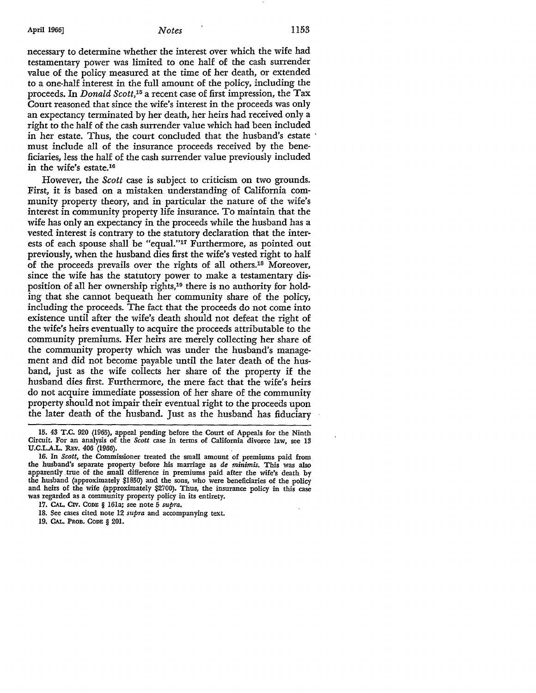April 1966] *Notes* 1153

necessary to determine whether the interest over which the wife had testamentary power was limited to one half of the cash surrender value of the policy measured at the time of her death, or extended to a one-half interest in the full amount of the policy, including the proceeds. In *Donald Scott,15* a recent case of first impression, the Tax Court reasoned that since the wife's interest in the proceeds was only an expectancy terminated by her death, her heirs had received only a right to the half of the cash surrender value which had been included in her estate. Thus, the court concluded that the husband's estate must include all of the insurance proceeds received by the beneficiaries, less the half of the cash surrender value previously included in the wife's estate.16

However, the *Scott* case is subject to criticism on two grounds. First, it is based on a mistaken understanding of California community property theory, and in particular the nature of the wife's interest in community property life insurance. To maintain that the wife has only an expectancy in the proceeds while the husband has a vested interest is contrary to the statutory declaration that the interests of each spouse shall be "equal."17 Furthermore, as pointed out previously, when the husband dies first the wife's vested right to half of the proceeds prevails over the rights of all others.18 Moreover, since the wife has the statutory power to make a testamentary disposition of all her ownership rights,19 there is no authority for holding that she cannot bequeath her community share of the policy, including the proceeds. The fact that the proceeds do not come into existence until after the wife's death should not defeat the right of the wife's heirs eventually to acquire the proceeds attributable to the community premiums. Her heirs are merely collecting her share of the community property which was under the husband's management and did not become payable until the later death of the husband, just as the wife collects her share of the property if the husband dies first. Furthermore, the mere fact that the wife's heirs do not acquire immediate possession of her share of the community property should not impair their eventual right to the proceeds upon the later death of the husband. Just as the husband has fiduciary

19. CAL. PROB. CODE § 201.

<sup>15. 43</sup> T.C. 920 (1965), appeal pending before the Court of Appeals for the Ninth Circuit. For an analysis of the *Scott* case in terms of California divorce law, see 13 U.C.L.A.L. REv. 406 (1966).

<sup>16.</sup> In *Scott,* the Commissioner treated the small amount of premiums paid from the husband's separate property before his marriage as *de minimis.* This was also apparently .true of the small difference in premiums paid after the wife's death by the husband (approximately \$1850) and the sons, who were beneficiaries of the policy and heirs of the wife (approximately \$2700). Thus, the insurance policy in this case was regarded as a community property policy in its entirety.

<sup>17.</sup> CAL. CIV. CODE§ 161a; see note 5 *supra.* 

<sup>18.</sup> See cases cited note 12 *supra* and accompanying text.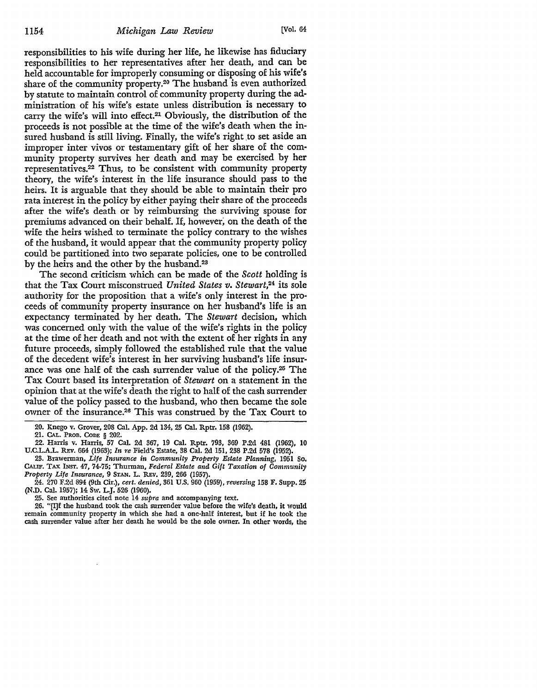responsibilities to his wife during her life, he likewise has fiduciary responsibilities to her representatives after her death, and can be held accountable for improperly consuming or disposing of his wife's share of the community property.20 The husband is even authorized by statute to maintain control of community property during the administration of his wife's estate unless distribution is necessary to carry the wife's will into effect.<sup>21</sup> Obviously, the distribution of the proceeds is not possible at the time of the wife's death when the insured husband is still living. Finally, the wife's right to set aside an improper inter vivos or testamentary gift of her share of the community property survives her death and may be exercised by her representatives.22 Thus, to be consistent with community property theory, the wife's interest in the life insurance should pass to the heirs. It is arguable that they should be able to maintain their pro rata interest in the policy by either paying their share of the proceeds after the wife's death or by reimbursing the surviving spouse for premiums advanced on their behalf. If, however, on the death of the wife the heirs wished to terminate the policy contrary to the wishes of the husband, it would appear that the community property policy could be partitioned into two separate policies, one to be controlled by the heirs and the other by the husband.<sup>23</sup>

The second criticism which can be made of the *Scott* holding is that the Tax Court misconstrued *United States v. Stewart,24* its sole authority for the proposition that a wife's only interest in the proceeds of community property insurance on her husband's life is an expectancy terminated by her death. The *Stewart* decision, which was concerned only with the value of the wife's rights in the policy at the time of her death and not with the extent of her rights in any future proceeds, simply followed the established rule that the value of the decedent wife's interest in her surviving husband's life insurance was one half of the cash surrender value of the policy.<sup>25</sup> The Tax Court based its interpretation of *Stewart* on a statement in the opinion that at the wife's death the right to half of the cash surrender value of the policy passed to the husband, who then became the sole owner of the insurance.26 This was construed by the Tax Court to

21. CAL. PROB. CODE § 202.

22. Harris v. Harris, 57 Cal. 2d 367, 19 Cal. Rptr. 793, 369 P.2d 481 (1962), 10 U.C.L.A.L. REv. 664 (1963); *In re* Field's Estate, 38 Cal. 2d 151, 238 P.2d 578 (1952),

23. Brawerman, *Life Insurance in Community Property Estate Planning,* 1951 So. CALIF. TAX INsr. 47, 74-75; Thurman, *Federal Estate and Gift Taxation of Community Property Life Insurance,* 9 STAN. L. REv. 239, 266 (1957).

24. 270 F.2d 894 (9th Cir.), *cert. denied,* 361 U.S. 960 (1959), *reversing* 158 F. Supp. 25 (N.D. Cal. 1957); 14 Sw. L.J. 526 (1960).

25. See authorities cited note 14 *supra* and accompanying text.

26. "[I]f the husband took the cash surrender value before the wife's death, it would remain community property in which she had a one-half interest, but if he took the cash surrender value after her death he would be the sole owner. In other words, the

<sup>20.</sup> Knego v. Grover, 208 Cal. App. 2d 134, 25 Cal. Rptr. 158 (1962).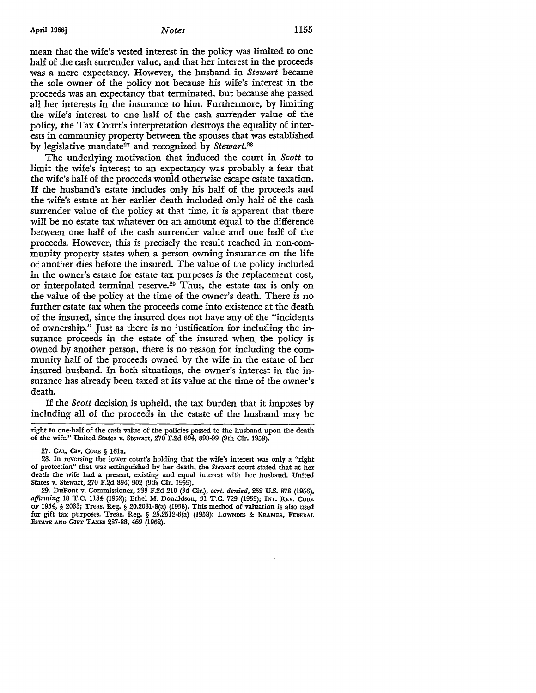mean that the wife's vested interest in the policy was limited to one half of the cash surrender value, and that her interest in the proceeds was a mere expectancy. However, the husband in *Stewart* became the sole owner of the policy not because his wife's interest in the proceeds was an expectancy that terminated, but because she passed all her interests in the insurance to him. Furthermore, by limiting the wife's interest to one half of the cash surrender value of the policy, the Tax Court's interpretation destroys the equality of interests in community property between the spouses that was established by legislative mandate27 and recognized by *Stewart.28* 

The underlying motivation that induced the court in *Scott* to limit the wife's interest to an expectancy was probably a fear that the wife's half of the proceeds would otherwise escape estate taxation. If the husband's estate includes only his half of the proceeds and the wife's estate at her earlier death included only half of the cash surrender value of the policy at that time, it is apparent that there will be no estate tax whatever on an amount equal to the difference between one half of the cash surrender value and one half of the proceeds. However, this is precisely the result reached in non-community property states when a person owning insurance on the life of another dies before the insured. The value of the policy included in the owner's estate for estate tax purposes is the replacement cost, or interpolated terminal reserve.29 Thus, the estate tax is only on the value of the policy at the time of the owner's death. There is no further estate tax when the proceeds come into existence at the death of the insured, since the insured does not have any of the "incidents of ownership." Just as there is no justification for including the insurance proceeds in the estate of the insured when the policy is owned by another person, there is no reason for including the community half of the proceeds owned by the wife in the estate of her insured husband. In both situations, the owner's interest in the insurance has already been taxed at its value at the time of the owner's death.

If the *Scott* decision is upheld, the tax burden that it imposes by including all of the proceeds in the estate of the husband may be

right to one-half of the cash value of the policies passed to the husband upon the death of the wife." United States v. Stewart, 270 F.2d 894, 898-99 (9th Cir. 1959).

<sup>27.</sup> CAL. CIV. CODE § 161a.

<sup>28.</sup> In reversing the lower court's holding that the wife's interest was only a "right of protection" that was extinguished by her death, the *Stewart* court stated that at her death the wife had a present, existing and equal interest with her husband. United States v. Stewart, 270 F.2d 894; 902 (9th Cir. 1959).

<sup>29.</sup> DuPont v. Commissioner, 233 F.2d 210 (3d Cir.), *cert, denied,* 252 U.S. 878 (1956), *affirming* 18 T.C. 1134 (1952); Ethel M. Donaldson, 31 T.C. 729 (1959); INT. REv. CODE OF 1954, § 2033; Treas. Reg. § 20.2031-8(a) (1958). This method of valuation is also used for gift tax purposes. Treas. Reg. § 25.2512-6(a) (1958); LOWNDES & KRAMER, FEDERAL EsTATE AND GIFT TAXES 287-88, 469 (1962).